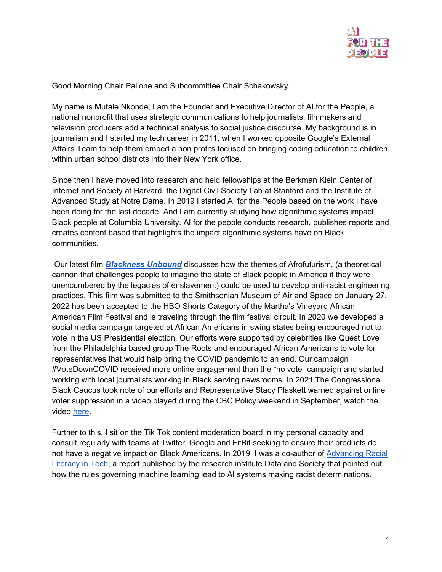

Good Morning Chair Pallone and Subcommittee Chair Schakowsky.

My name is Mutale Nkonde, I am the Founder and Executive Director of AI for the People, a national nonprofit that uses strategic communications to help journalists, filmmakers and television producers add a technical analysis to social justice discourse. My background is in journalism and I started my tech career in 2011, when I worked opposite Google's External Affairs Team to help them embed a non profits focused on bringing coding education to children within urban school districts into their New York office.

Since then I have moved into research and held fellowships at the Berkman Klein Center of Internet and Society at Harvard, the Digital Civil Society Lab at Stanford and the Institute of Advanced Study at Notre Dame. In 2019 I started AI for the People based on the work I have been doing for the last decade. And I am currently studying how algorithmic systems impact Black people at Columbia University. AI for the people conducts research, publishes reports and creates content based that highlights the impact algorithmic systems have on Black communities.

Our latest film *[Blackness Unbound](https://www.youtube.com/watch?v=wqXIR6BPxlk&list=PL6RlkQnoCx_XI6uS8ZuR_fvx8ZrCaWPan&index=22)* discusses how the themes of Afrofuturism, (a theoretical cannon that challenges people to imagine the state of Black people in America if they were unencumbered by the legacies of enslavement) could be used to develop anti-racist engineering practices. This film was submitted to the Smithsonian Museum of Air and Space on January 27, 2022 has been accepted to the HBO Shorts Category of the Martha's Vineyard African American Film Festival and is traveling through the film festival circuit. In 2020 we developed a social media campaign targeted at African Americans in swing states being encouraged not to vote in the US Presidential election. Our efforts were supported by celebrities like Quest Love from the Philadelphia based group The Roots and encouraged African Americans to vote for representatives that would help bring the COVID pandemic to an end. Our campaign #VoteDownCOVID received more online engagement than the "no vote" campaign and started working with local journalists working in Black serving newsrooms. In 2021 The Congressional Black Caucus took note of our efforts and Representative Stacy Plaskett warned against online voter suppression in a video played during the CBC Policy weekend in September, watch the video [here.](https://www.youtube.com/watch?v=BNSYYFZTTJs)

Further to this, I sit on the Tik Tok content moderation board in my personal capacity and consult regularly with teams at Twitter, Google and FitBit seeking to ensure their products do not have a negative impact on Black Americans. In 2019 I was a co-author of [Advancing Racial](https://datasociety.net/wp-content/uploads/2019/05/Racial_Literacy_Tech_Final_0522.pdf)  [Literacy in Tech,](https://datasociety.net/wp-content/uploads/2019/05/Racial_Literacy_Tech_Final_0522.pdf) a report published by the research institute Data and Society that pointed out how the rules governing machine learning lead to AI systems making racist determinations.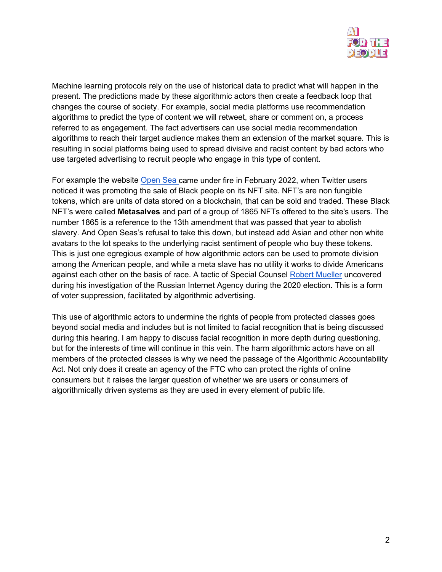

Machine learning protocols rely on the use of historical data to predict what will happen in the present. The predictions made by these algorithmic actors then create a feedback loop that changes the course of society. For example, social media platforms use recommendation algorithms to predict the type of content we will retweet, share or comment on, a process referred to as engagement. The fact advertisers can use social media recommendation algorithms to reach their target audience makes them an extension of the market square. This is resulting in social platforms being used to spread divisive and racist content by bad actors who use targeted advertising to recruit people who engage in this type of content.

For example the website [Open Sea c](https://www.vice.com/en/article/5dgw9a/racist-meta-slave-nft-project-rebrands-after-being-called-racist)ame under fire in February 2022, when Twitter users noticed it was promoting the sale of Black people on its NFT site. NFT's are non fungible tokens, which are units of data stored on a blockchain, that can be sold and traded. These Black NFT's were called **Metasalves** and part of a group of 1865 NFTs offered to the site's users. The number 1865 is a reference to the 13th amendment that was passed that year to abolish slavery. And Open Seas's refusal to take this down, but instead add Asian and other non white avatars to the lot speaks to the underlying racist sentiment of people who buy these tokens. This is just one egregious example of how algorithmic actors can be used to promote division among the American people, and while a meta slave has no utility it works to divide Americans against each other on the basis of race. A tactic of Special Counsel [Robert Mueller](https://www.nytimes.com/2018/12/17/us/politics/russia-2016-influence-campaign.html) uncovered during his investigation of the Russian Internet Agency during the 2020 election. This is a form of voter suppression, facilitated by algorithmic advertising.

This use of algorithmic actors to undermine the rights of people from protected classes goes beyond social media and includes but is not limited to facial recognition that is being discussed during this hearing. I am happy to discuss facial recognition in more depth during questioning, but for the interests of time will continue in this vein. The harm algorithmic actors have on all members of the protected classes is why we need the passage of the Algorithmic Accountability Act. Not only does it create an agency of the FTC who can protect the rights of online consumers but it raises the larger question of whether we are users or consumers of algorithmically driven systems as they are used in every element of public life.